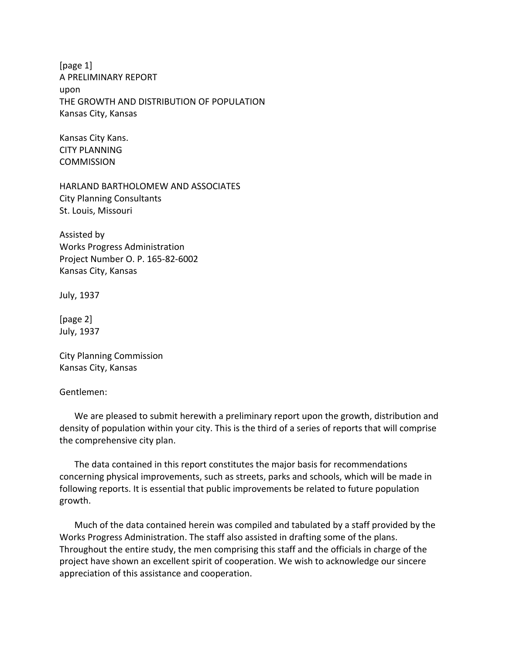[page 1] A PRELIMINARY REPORT upon THE GROWTH AND DISTRIBUTION OF POPULATION Kansas City, Kansas

Kansas City Kans. CITY PLANNING **COMMISSION** 

HARLAND BARTHOLOMEW AND ASSOCIATES City Planning Consultants St. Louis, Missouri

Assisted by Works Progress Administration Project Number O. P. 165-82-6002 Kansas City, Kansas

July, 1937

[page 2] July, 1937

City Planning Commission Kansas City, Kansas

Gentlemen:

We are pleased to submit herewith a preliminary report upon the growth, distribution and density of population within your city. This is the third of a series of reports that will comprise the comprehensive city plan.

The data contained in this report constitutes the major basis for recommendations concerning physical improvements, such as streets, parks and schools, which will be made in following reports. It is essential that public improvements be related to future population growth.

Much of the data contained herein was compiled and tabulated by a staff provided by the Works Progress Administration. The staff also assisted in drafting some of the plans. Throughout the entire study, the men comprising this staff and the officials in charge of the project have shown an excellent spirit of cooperation. We wish to acknowledge our sincere appreciation of this assistance and cooperation.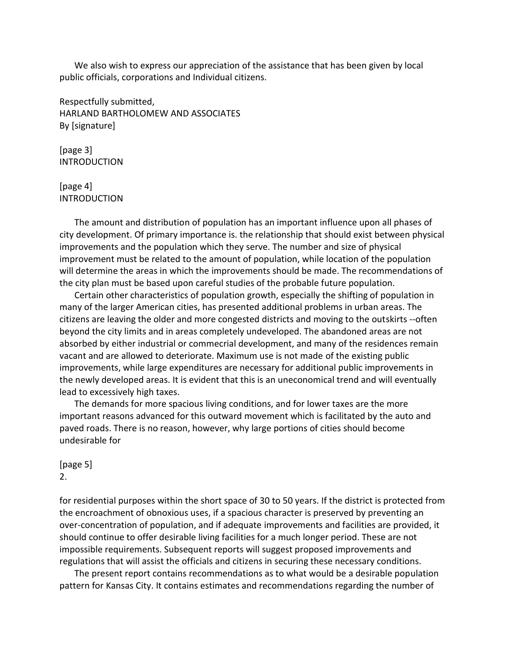We also wish to express our appreciation of the assistance that has been given by local public officials, corporations and Individual citizens.

Respectfully submitted, HARLAND BARTHOLOMEW AND ASSOCIATES By [signature]

[page 3] **INTRODUCTION** 

[page 4] INTRODUCTION

The amount and distribution of population has an important influence upon all phases of city development. Of primary importance is. the relationship that should exist between physical improvements and the population which they serve. The number and size of physical improvement must be related to the amount of population, while location of the population will determine the areas in which the improvements should be made. The recommendations of the city plan must be based upon careful studies of the probable future population.

Certain other characteristics of population growth, especially the shifting of population in many of the larger American cities, has presented additional problems in urban areas. The citizens are leaving the older and more congested districts and moving to the outskirts --often beyond the city limits and in areas completely undeveloped. The abandoned areas are not absorbed by either industrial or commecrial development, and many of the residences remain vacant and are allowed to deteriorate. Maximum use is not made of the existing public improvements, while large expenditures are necessary for additional public improvements in the newly developed areas. It is evident that this is an uneconomical trend and will eventually lead to excessively high taxes.

The demands for more spacious living conditions, and for lower taxes are the more important reasons advanced for this outward movement which is facilitated by the auto and paved roads. There is no reason, however, why large portions of cities should become undesirable for

[page 5] 2.

for residential purposes within the short space of 30 to 50 years. If the district is protected from the encroachment of obnoxious uses, if a spacious character is preserved by preventing an over-concentration of population, and if adequate improvements and facilities are provided, it should continue to offer desirable living facilities for a much longer period. These are not impossible requirements. Subsequent reports will suggest proposed improvements and regulations that will assist the officials and citizens in securing these necessary conditions.

The present report contains recommendations as to what would be a desirable population pattern for Kansas City. It contains estimates and recommendations regarding the number of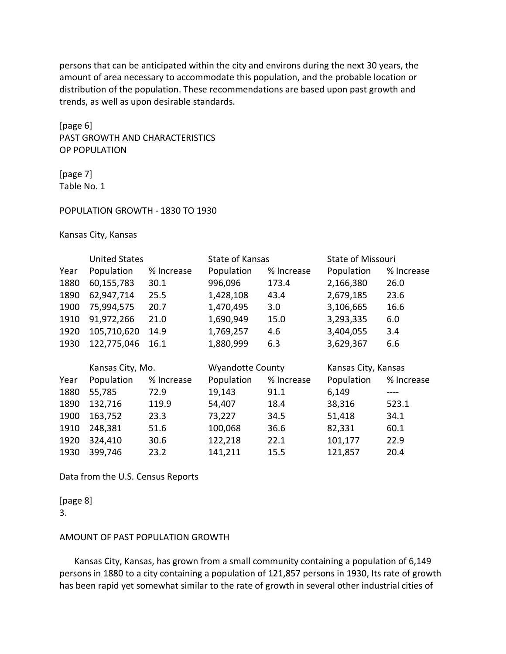persons that can be anticipated within the city and environs during the next 30 years, the amount of area necessary to accommodate this population, and the probable location or distribution of the population. These recommendations are based upon past growth and trends, as well as upon desirable standards.

[page 6] PAST GROWTH AND CHARACTERISTICS OP POPULATION

[page 7] Table No. 1

#### POPULATION GROWTH - 1830 TO 1930

Kansas City, Kansas

|      | <b>United States</b> |            | State of Kansas         |            | <b>State of Missouri</b> |            |
|------|----------------------|------------|-------------------------|------------|--------------------------|------------|
| Year | Population           | % Increase | Population              | % Increase | Population               | % Increase |
| 1880 | 60,155,783           | 30.1       | 996,096                 | 173.4      | 2,166,380                | 26.0       |
| 1890 | 62,947,714           | 25.5       | 1,428,108               | 43.4       | 2,679,185                | 23.6       |
| 1900 | 75,994,575           | 20.7       | 1,470,495               | 3.0        | 3,106,665                | 16.6       |
| 1910 | 91,972,266           | 21.0       | 1,690,949               | 15.0       | 3,293,335                | 6.0        |
| 1920 | 105,710,620          | 14.9       | 1,769,257               | 4.6        | 3,404,055                | 3.4        |
| 1930 | 122,775,046          | 16.1       | 1,880,999               | 6.3        | 3,629,367                | 6.6        |
|      |                      |            |                         |            |                          |            |
|      | Kansas City, Mo.     |            | <b>Wyandotte County</b> |            | Kansas City, Kansas      |            |
| Year | Population           | % Increase | Population              | % Increase | Population               | % Increase |
| 1880 | 55,785               | 72.9       | 19,143                  | 91.1       | 6,149                    |            |
| 1890 | 132,716              | 119.9      | 54,407                  | 18.4       | 38,316                   | 523.1      |
| 1900 | 163,752              | 23.3       | 73,227                  | 34.5       | 51,418                   | 34.1       |
| 1910 | 248,381              | 51.6       | 100,068                 | 36.6       | 82,331                   | 60.1       |
| 1920 | 324,410              | 30.6       | 122,218                 | 22.1       | 101,177                  | 22.9       |
| 1930 | 399,746              | 23.2       | 141,211                 | 15.5       | 121,857                  | 20.4       |

Data from the U.S. Census Reports

# [page 8]

3.

#### AMOUNT OF PAST POPULATION GROWTH

Kansas City, Kansas, has grown from a small community containing a population of 6,149 persons in 1880 to a city containing a population of 121,857 persons in 1930, Its rate of growth has been rapid yet somewhat similar to the rate of growth in several other industrial cities of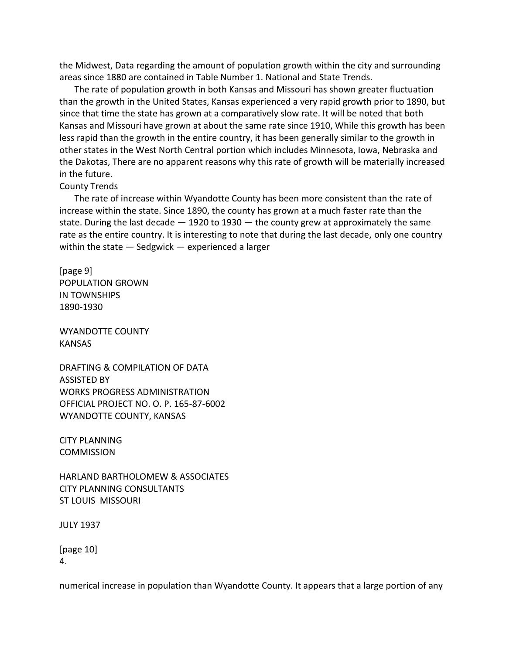the Midwest, Data regarding the amount of population growth within the city and surrounding areas since 1880 are contained in Table Number 1. National and State Trends.

The rate of population growth in both Kansas and Missouri has shown greater fluctuation than the growth in the United States, Kansas experienced a very rapid growth prior to 1890, but since that time the state has grown at a comparatively slow rate. It will be noted that both Kansas and Missouri have grown at about the same rate since 1910, While this growth has been less rapid than the growth in the entire country, it has been generally similar to the growth in other states in the West North Central portion which includes Minnesota, Iowa, Nebraska and the Dakotas, There are no apparent reasons why this rate of growth will be materially increased in the future.

# County Trends

The rate of increase within Wyandotte County has been more consistent than the rate of increase within the state. Since 1890, the county has grown at a much faster rate than the state. During the last decade  $-1920$  to 1930  $-$  the county grew at approximately the same rate as the entire country. It is interesting to note that during the last decade, only one country within the state — Sedgwick — experienced a larger

[page 9] POPULATION GROWN IN TOWNSHIPS 1890-1930

WYANDOTTE COUNTY KANSAS

DRAFTING & COMPILATION OF DATA ASSISTED BY WORKS PROGRESS ADMINISTRATION OFFICIAL PROJECT NO. O. P. 165-87-6002 WYANDOTTE COUNTY, KANSAS

CITY PLANNING **COMMISSION** 

HARLAND BARTHOLOMEW & ASSOCIATES CITY PLANNING CONSULTANTS ST LOUIS MISSOURI

JULY 1937

[page 10] 4.

numerical increase in population than Wyandotte County. It appears that a large portion of any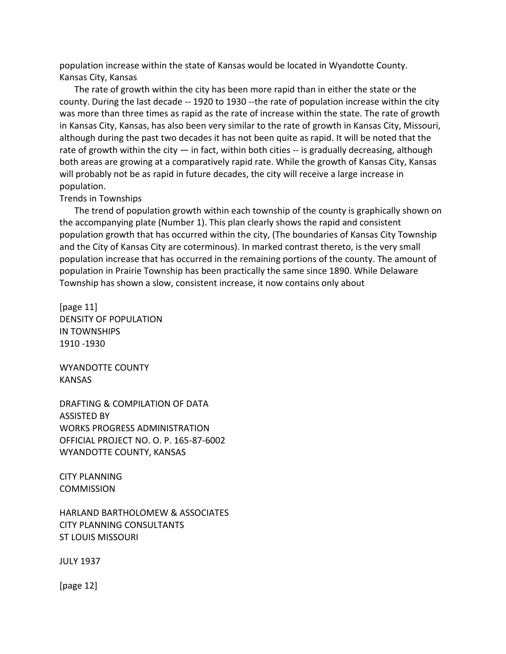population increase within the state of Kansas would be located in Wyandotte County. Kansas City, Kansas

The rate of growth within the city has been more rapid than in either the state or the county. During the last decade -- 1920 to 1930 --the rate of population increase within the city was more than three times as rapid as the rate of increase within the state. The rate of growth in Kansas City, Kansas, has also been very similar to the rate of growth in Kansas City, Missouri, although during the past two decades it has not been quite as rapid. It will be noted that the rate of growth within the city  $-$  in fact, within both cities  $-$  is gradually decreasing, although both areas are growing at a comparatively rapid rate. While the growth of Kansas City, Kansas will probably not be as rapid in future decades, the city will receive a large increase in population.

#### Trends in Townships

The trend of population growth within each township of the county is graphically shown on the accompanying plate (Number 1). This plan clearly shows the rapid and consistent population growth that has occurred within the city, (The boundaries of Kansas City Township and the City of Kansas City are coterminous). In marked contrast thereto, is the very small population increase that has occurred in the remaining portions of the county. The amount of population in Prairie Township has been practically the same since 1890. While Delaware Township has shown a slow, consistent increase, it now contains only about

[page 11] DENSITY OF POPULATION IN TOWNSHIPS 1910 -1930

WYANDOTTE COUNTY KANSAS

DRAFTING & COMPILATION OF DATA ASSISTED BY WORKS PROGRESS ADMINISTRATION OFFICIAL PROJECT NO. O. P. 165-87-6002 WYANDOTTE COUNTY, KANSAS

CITY PLANNING **COMMISSION** 

HARLAND BARTHOLOMEW & ASSOCIATES CITY PLANNING CONSULTANTS ST LOUIS MISSOURI

JULY 1937

[page 12]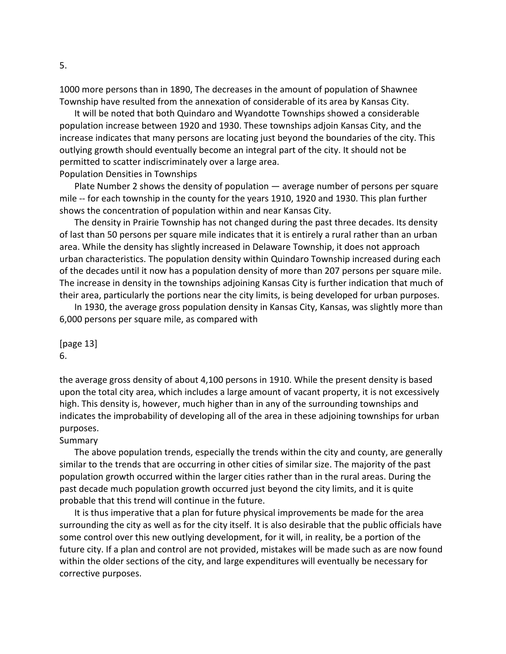1000 more persons than in 1890, The decreases in the amount of population of Shawnee Township have resulted from the annexation of considerable of its area by Kansas City.

It will be noted that both Quindaro and Wyandotte Townships showed a considerable population increase between 1920 and 1930. These townships adjoin Kansas City, and the increase indicates that many persons are locating just beyond the boundaries of the city. This outlying growth should eventually become an integral part of the city. It should not be permitted to scatter indiscriminately over a large area. Population Densities in Townships

Plate Number 2 shows the density of population — average number of persons per square mile -- for each township in the county for the years 1910, 1920 and 1930. This plan further shows the concentration of population within and near Kansas City.

The density in Prairie Township has not changed during the past three decades. Its density of last than 50 persons per square mile indicates that it is entirely a rural rather than an urban area. While the density has slightly increased in Delaware Township, it does not approach urban characteristics. The population density within Quindaro Township increased during each of the decades until it now has a population density of more than 207 persons per square mile. The increase in density in the townships adjoining Kansas City is further indication that much of their area, particularly the portions near the city limits, is being developed for urban purposes.

In 1930, the average gross population density in Kansas City, Kansas, was slightly more than 6,000 persons per square mile, as compared with

[page 13] 6.

the average gross density of about 4,100 persons in 1910. While the present density is based upon the total city area, which includes a large amount of vacant property, it is not excessively high. This density is, however, much higher than in any of the surrounding townships and indicates the improbability of developing all of the area in these adjoining townships for urban purposes.

# Summary

The above population trends, especially the trends within the city and county, are generally similar to the trends that are occurring in other cities of similar size. The majority of the past population growth occurred within the larger cities rather than in the rural areas. During the past decade much population growth occurred just beyond the city limits, and it is quite probable that this trend will continue in the future.

It is thus imperative that a plan for future physical improvements be made for the area surrounding the city as well as for the city itself. It is also desirable that the public officials have some control over this new outlying development, for it will, in reality, be a portion of the future city. If a plan and control are not provided, mistakes will be made such as are now found within the older sections of the city, and large expenditures will eventually be necessary for corrective purposes.

5.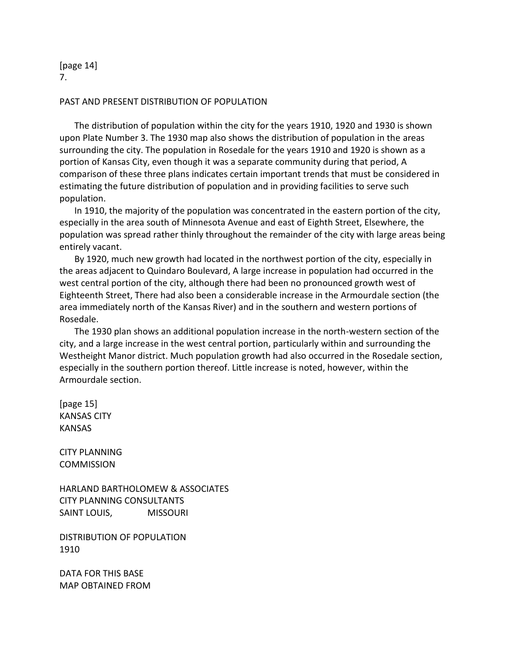[page 14] 7.

# PAST AND PRESENT DISTRIBUTION OF POPULATION

The distribution of population within the city for the years 1910, 1920 and 1930 is shown upon Plate Number 3. The 1930 map also shows the distribution of population in the areas surrounding the city. The population in Rosedale for the years 1910 and 1920 is shown as a portion of Kansas City, even though it was a separate community during that period, A comparison of these three plans indicates certain important trends that must be considered in estimating the future distribution of population and in providing facilities to serve such population.

In 1910, the majority of the population was concentrated in the eastern portion of the city, especially in the area south of Minnesota Avenue and east of Eighth Street, Elsewhere, the population was spread rather thinly throughout the remainder of the city with large areas being entirely vacant.

By 1920, much new growth had located in the northwest portion of the city, especially in the areas adjacent to Quindaro Boulevard, A large increase in population had occurred in the west central portion of the city, although there had been no pronounced growth west of Eighteenth Street, There had also been a considerable increase in the Armourdale section (the area immediately north of the Kansas River) and in the southern and western portions of Rosedale.

The 1930 plan shows an additional population increase in the north-western section of the city, and a large increase in the west central portion, particularly within and surrounding the Westheight Manor district. Much population growth had also occurred in the Rosedale section, especially in the southern portion thereof. Little increase is noted, however, within the Armourdale section.

[page 15] KANSAS CITY KANSAS

CITY PLANNING **COMMISSION** 

HARLAND BARTHOLOMEW & ASSOCIATES CITY PLANNING CONSULTANTS SAINT LOUIS, MISSOURI

DISTRIBUTION OF POPULATION 1910

DATA FOR THIS BASE MAP OBTAINED FROM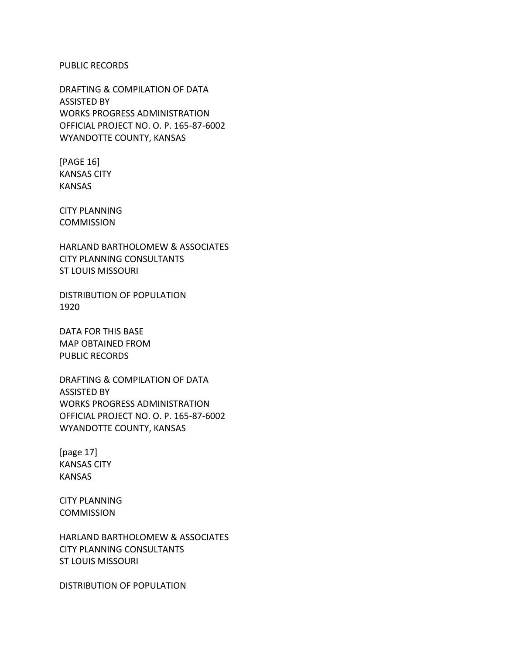#### PUBLIC RECORDS

DRAFTING & COMPILATION OF DATA ASSISTED BY WORKS PROGRESS ADMINISTRATION OFFICIAL PROJECT NO. O. P. 165-87-6002 WYANDOTTE COUNTY, KANSAS

[PAGE 16] KANSAS CITY KANSAS

CITY PLANNING COMMISSION

HARLAND BARTHOLOMEW & ASSOCIATES CITY PLANNING CONSULTANTS ST LOUIS MISSOURI

DISTRIBUTION OF POPULATION 1920

DATA FOR THIS BASE MAP OBTAINED FROM PUBLIC RECORDS

DRAFTING & COMPILATION OF DATA ASSISTED BY WORKS PROGRESS ADMINISTRATION OFFICIAL PROJECT NO. O. P. 165-87-6002 WYANDOTTE COUNTY, KANSAS

[page 17] KANSAS CITY KANSAS

CITY PLANNING **COMMISSION** 

HARLAND BARTHOLOMEW & ASSOCIATES CITY PLANNING CONSULTANTS ST LOUIS MISSOURI

DISTRIBUTION OF POPULATION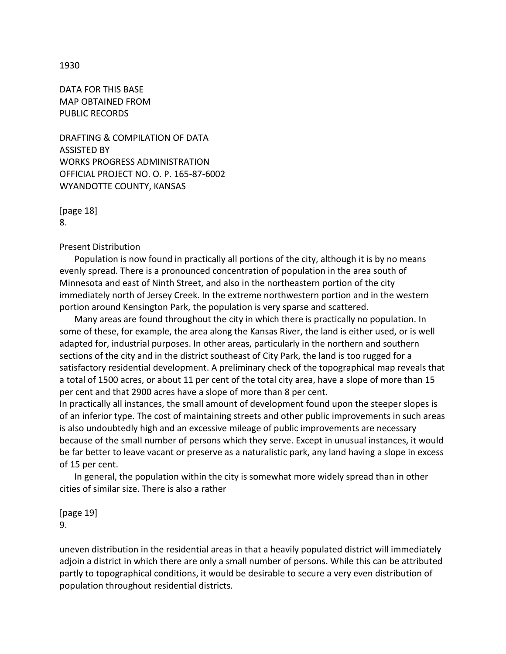## 1930

DATA FOR THIS BASE MAP OBTAINED FROM PUBLIC RECORDS

DRAFTING & COMPILATION OF DATA ASSISTED BY WORKS PROGRESS ADMINISTRATION OFFICIAL PROJECT NO. O. P. 165-87-6002 WYANDOTTE COUNTY, KANSAS

[page 18] 8.

Present Distribution

Population is now found in practically all portions of the city, although it is by no means evenly spread. There is a pronounced concentration of population in the area south of Minnesota and east of Ninth Street, and also in the northeastern portion of the city immediately north of Jersey Creek. In the extreme northwestern portion and in the western portion around Kensington Park, the population is very sparse and scattered.

Many areas are found throughout the city in which there is practically no population. In some of these, for example, the area along the Kansas River, the land is either used, or is well adapted for, industrial purposes. In other areas, particularly in the northern and southern sections of the city and in the district southeast of City Park, the land is too rugged for a satisfactory residential development. A preliminary check of the topographical map reveals that a total of 1500 acres, or about 11 per cent of the total city area, have a slope of more than 15 per cent and that 2900 acres have a slope of more than 8 per cent.

In practically all instances, the small amount of development found upon the steeper slopes is of an inferior type. The cost of maintaining streets and other public improvements in such areas is also undoubtedly high and an excessive mileage of public improvements are necessary because of the small number of persons which they serve. Except in unusual instances, it would be far better to leave vacant or preserve as a naturalistic park, any land having a slope in excess of 15 per cent.

In general, the population within the city is somewhat more widely spread than in other cities of similar size. There is also a rather

[page 19] 9.

uneven distribution in the residential areas in that a heavily populated district will immediately adjoin a district in which there are only a small number of persons. While this can be attributed partly to topographical conditions, it would be desirable to secure a very even distribution of population throughout residential districts.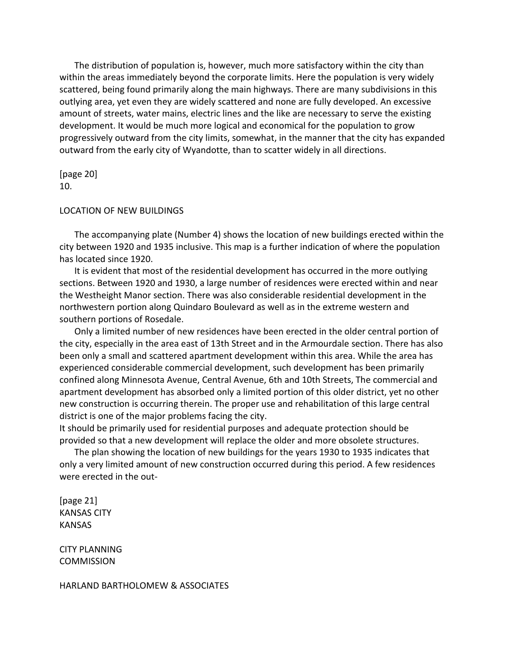The distribution of population is, however, much more satisfactory within the city than within the areas immediately beyond the corporate limits. Here the population is very widely scattered, being found primarily along the main highways. There are many subdivisions in this outlying area, yet even they are widely scattered and none are fully developed. An excessive amount of streets, water mains, electric lines and the like are necessary to serve the existing development. It would be much more logical and economical for the population to grow progressively outward from the city limits, somewhat, in the manner that the city has expanded outward from the early city of Wyandotte, than to scatter widely in all directions.

[page 20] 10.

### LOCATION OF NEW BUILDINGS

The accompanying plate (Number 4) shows the location of new buildings erected within the city between 1920 and 1935 inclusive. This map is a further indication of where the population has located since 1920.

It is evident that most of the residential development has occurred in the more outlying sections. Between 1920 and 1930, a large number of residences were erected within and near the Westheight Manor section. There was also considerable residential development in the northwestern portion along Quindaro Boulevard as well as in the extreme western and southern portions of Rosedale.

Only a limited number of new residences have been erected in the older central portion of the city, especially in the area east of 13th Street and in the Armourdale section. There has also been only a small and scattered apartment development within this area. While the area has experienced considerable commercial development, such development has been primarily confined along Minnesota Avenue, Central Avenue, 6th and 10th Streets, The commercial and apartment development has absorbed only a limited portion of this older district, yet no other new construction is occurring therein. The proper use and rehabilitation of this large central district is one of the major problems facing the city.

It should be primarily used for residential purposes and adequate protection should be provided so that a new development will replace the older and more obsolete structures.

The plan showing the location of new buildings for the years 1930 to 1935 indicates that only a very limited amount of new construction occurred during this period. A few residences were erected in the out-

[page 21] KANSAS CITY KANSAS

CITY PLANNING **COMMISSION** 

HARLAND BARTHOLOMEW & ASSOCIATES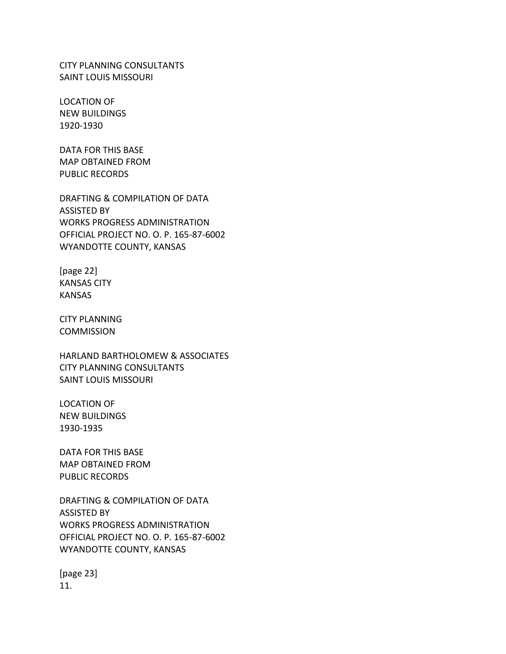CITY PLANNING CONSULTANTS SAINT LOUIS MISSOURI

LOCATION OF NEW BUILDINGS 1920-1930

DATA FOR THIS BASE MAP OBTAINED FROM PUBLIC RECORDS

DRAFTING & COMPILATION OF DATA ASSISTED BY WORKS PROGRESS ADMINISTRATION OFFICIAL PROJECT NO. O. P. 165-87-6002 WYANDOTTE COUNTY, KANSAS

[page 22] KANSAS CITY KANSAS

CITY PLANNING **COMMISSION** 

HARLAND BARTHOLOMEW & ASSOCIATES CITY PLANNING CONSULTANTS SAINT LOUIS MISSOURI

LOCATION OF NEW BUILDINGS 1930-1935

DATA FOR THIS BASE MAP OBTAINED FROM PUBLIC RECORDS

DRAFTING & COMPILATION OF DATA ASSISTED BY WORKS PROGRESS ADMINISTRATION OFFICIAL PROJECT NO. O. P. 165-87-6002 WYANDOTTE COUNTY, KANSAS

[page 23] 11.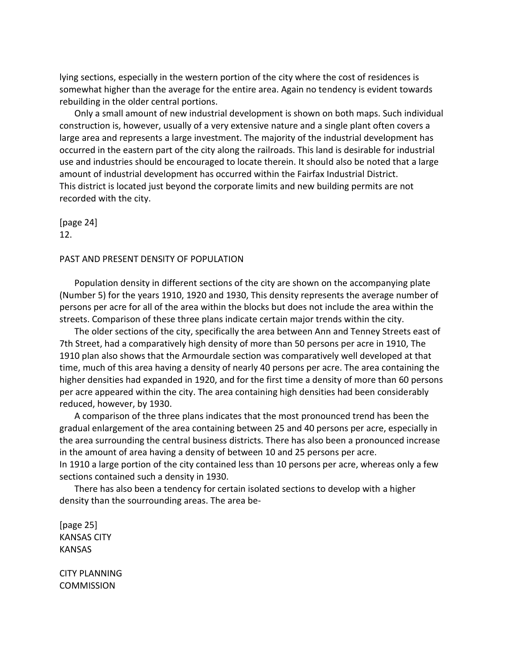lying sections, especially in the western portion of the city where the cost of residences is somewhat higher than the average for the entire area. Again no tendency is evident towards rebuilding in the older central portions.

Only a small amount of new industrial development is shown on both maps. Such individual construction is, however, usually of a very extensive nature and a single plant often covers a large area and represents a large investment. The majority of the industrial development has occurred in the eastern part of the city along the railroads. This land is desirable for industrial use and industries should be encouraged to locate therein. It should also be noted that a large amount of industrial development has occurred within the Fairfax Industrial District. This district is located just beyond the corporate limits and new building permits are not recorded with the city.

[page 24] 12.

## PAST AND PRESENT DENSITY OF POPULATION

Population density in different sections of the city are shown on the accompanying plate (Number 5) for the years 1910, 1920 and 1930, This density represents the average number of persons per acre for all of the area within the blocks but does not include the area within the streets. Comparison of these three plans indicate certain major trends within the city.

The older sections of the city, specifically the area between Ann and Tenney Streets east of 7th Street, had a comparatively high density of more than 50 persons per acre in 1910, The 1910 plan also shows that the Armourdale section was comparatively well developed at that time, much of this area having a density of nearly 40 persons per acre. The area containing the higher densities had expanded in 1920, and for the first time a density of more than 60 persons per acre appeared within the city. The area containing high densities had been considerably reduced, however, by 1930.

A comparison of the three plans indicates that the most pronounced trend has been the gradual enlargement of the area containing between 25 and 40 persons per acre, especially in the area surrounding the central business districts. There has also been a pronounced increase in the amount of area having a density of between 10 and 25 persons per acre. In 1910 a large portion of the city contained less than 10 persons per acre, whereas only a few sections contained such a density in 1930.

There has also been a tendency for certain isolated sections to develop with a higher density than the sourrounding areas. The area be-

[page 25] KANSAS CITY KANSAS

CITY PLANNING **COMMISSION**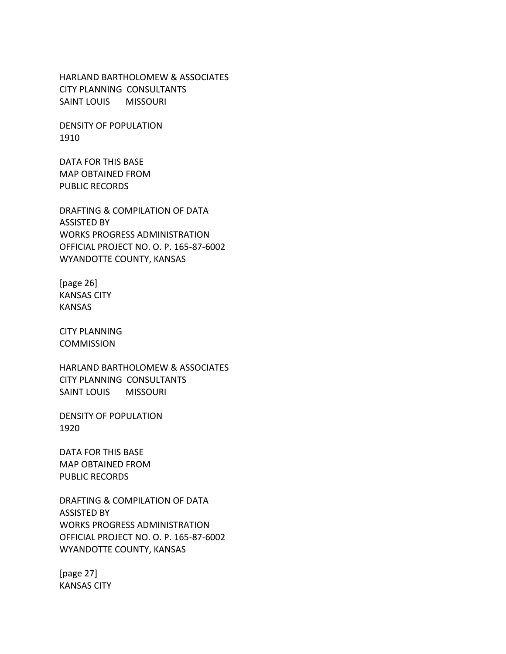HARLAND BARTHOLOMEW & ASSOCIATES CITY PLANNING CONSULTANTS SAINT LOUIS MISSOURI

DENSITY OF POPULATION 1910

DATA FOR THIS BASE MAP OBTAINED FROM PUBLIC RECORDS

DRAFTING & COMPILATION OF DATA ASSISTED BY WORKS PROGRESS ADMINISTRATION OFFICIAL PROJECT NO. O. P. 165-87-6002 WYANDOTTE COUNTY, KANSAS

[page 26] KANSAS CITY KANSAS

CITY PLANNING COMMISSION

HARLAND BARTHOLOMEW & ASSOCIATES CITY PLANNING CONSULTANTS SAINT LOUIS MISSOURI

DENSITY OF POPULATION 1920

DATA FOR THIS BASE MAP OBTAINED FROM PUBLIC RECORDS

DRAFTING & COMPILATION OF DATA ASSISTED BY WORKS PROGRESS ADMINISTRATION OFFICIAL PROJECT NO. O. P. 165-87-6002 WYANDOTTE COUNTY, KANSAS

[page 27] KANSAS CITY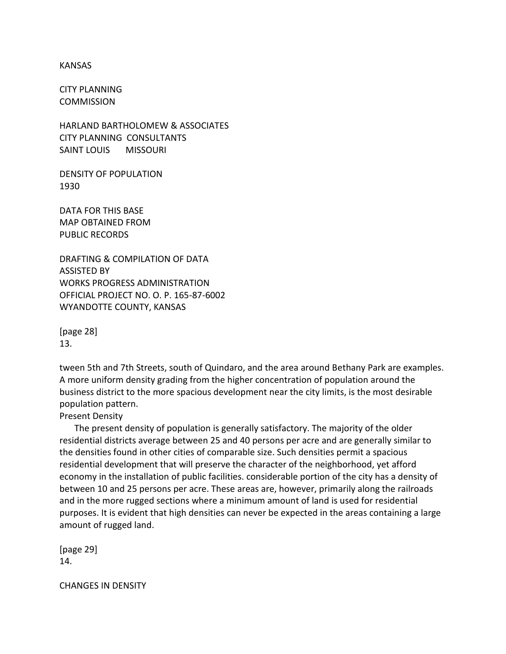#### KANSAS

CITY PLANNING **COMMISSION** 

HARLAND BARTHOLOMEW & ASSOCIATES CITY PLANNING CONSULTANTS SAINT LOUIS MISSOURI

DENSITY OF POPULATION 1930

DATA FOR THIS BASE MAP OBTAINED FROM PUBLIC RECORDS

DRAFTING & COMPILATION OF DATA ASSISTED BY WORKS PROGRESS ADMINISTRATION OFFICIAL PROJECT NO. O. P. 165-87-6002 WYANDOTTE COUNTY, KANSAS

[page 28] 13.

tween 5th and 7th Streets, south of Quindaro, and the area around Bethany Park are examples. A more uniform density grading from the higher concentration of population around the business district to the more spacious development near the city limits, is the most desirable population pattern.

Present Density

The present density of population is generally satisfactory. The majority of the older residential districts average between 25 and 40 persons per acre and are generally similar to the densities found in other cities of comparable size. Such densities permit a spacious residential development that will preserve the character of the neighborhood, yet afford economy in the installation of public facilities. considerable portion of the city has a density of between 10 and 25 persons per acre. These areas are, however, primarily along the railroads and in the more rugged sections where a minimum amount of land is used for residential purposes. It is evident that high densities can never be expected in the areas containing a large amount of rugged land.

[page 29] 14.

CHANGES IN DENSITY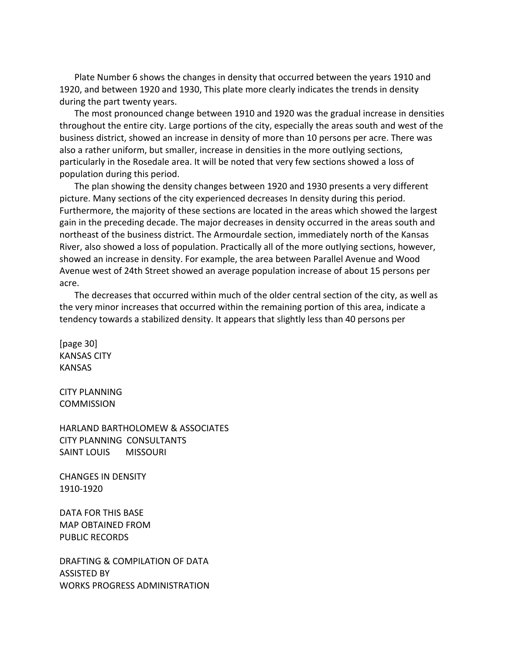Plate Number 6 shows the changes in density that occurred between the years 1910 and 1920, and between 1920 and 1930, This plate more clearly indicates the trends in density during the part twenty years.

The most pronounced change between 1910 and 1920 was the gradual increase in densities throughout the entire city. Large portions of the city, especially the areas south and west of the business district, showed an increase in density of more than 10 persons per acre. There was also a rather uniform, but smaller, increase in densities in the more outlying sections, particularly in the Rosedale area. It will be noted that very few sections showed a loss of population during this period.

The plan showing the density changes between 1920 and 1930 presents a very different picture. Many sections of the city experienced decreases In density during this period. Furthermore, the majority of these sections are located in the areas which showed the largest gain in the preceding decade. The major decreases in density occurred in the areas south and northeast of the business district. The Armourdale section, immediately north of the Kansas River, also showed a loss of population. Practically all of the more outlying sections, however, showed an increase in density. For example, the area between Parallel Avenue and Wood Avenue west of 24th Street showed an average population increase of about 15 persons per acre.

The decreases that occurred within much of the older central section of the city, as well as the very minor increases that occurred within the remaining portion of this area, indicate a tendency towards a stabilized density. It appears that slightly less than 40 persons per

[page 30] KANSAS CITY KANSAS

CITY PLANNING **COMMISSION** 

HARLAND BARTHOLOMEW & ASSOCIATES CITY PLANNING CONSULTANTS SAINT LOUIS MISSOURI

CHANGES IN DENSITY 1910-1920

DATA FOR THIS BASE MAP OBTAINED FROM PUBLIC RECORDS

DRAFTING & COMPILATION OF DATA ASSISTED BY WORKS PROGRESS ADMINISTRATION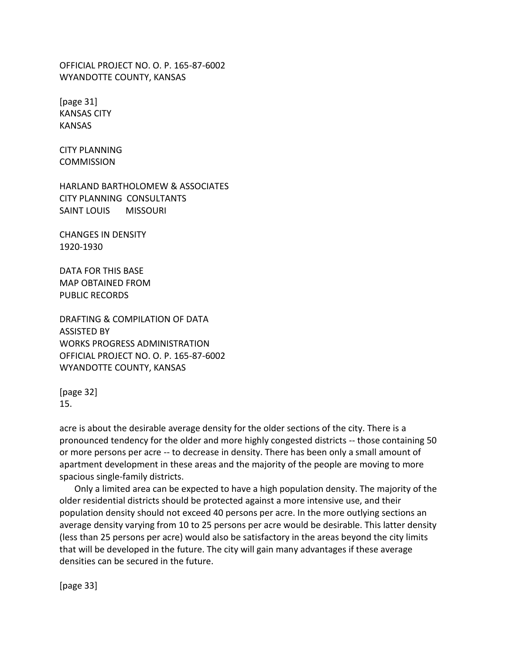OFFICIAL PROJECT NO. O. P. 165-87-6002 WYANDOTTE COUNTY, KANSAS

[page 31] KANSAS CITY KANSAS

CITY PLANNING **COMMISSION** 

HARLAND BARTHOLOMEW & ASSOCIATES CITY PLANNING CONSULTANTS SAINT LOUIS MISSOURI

CHANGES IN DENSITY 1920-1930

DATA FOR THIS BASE MAP OBTAINED FROM PUBLIC RECORDS

DRAFTING & COMPILATION OF DATA ASSISTED BY WORKS PROGRESS ADMINISTRATION OFFICIAL PROJECT NO. O. P. 165-87-6002 WYANDOTTE COUNTY, KANSAS

[page 32] 15.

acre is about the desirable average density for the older sections of the city. There is a pronounced tendency for the older and more highly congested districts -- those containing 50 or more persons per acre -- to decrease in density. There has been only a small amount of apartment development in these areas and the majority of the people are moving to more spacious single-family districts.

Only a limited area can be expected to have a high population density. The majority of the older residential districts should be protected against a more intensive use, and their population density should not exceed 40 persons per acre. In the more outlying sections an average density varying from 10 to 25 persons per acre would be desirable. This latter density (less than 25 persons per acre) would also be satisfactory in the areas beyond the city limits that will be developed in the future. The city will gain many advantages if these average densities can be secured in the future.

[page 33]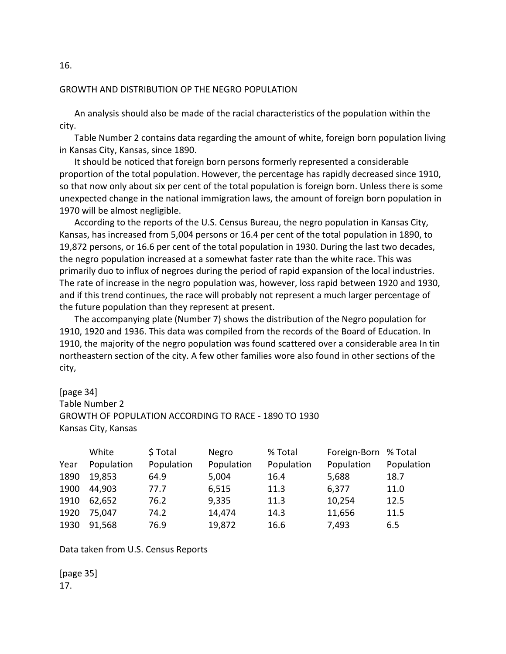# GROWTH AND DISTRIBUTION OP THE NEGRO POPULATION

An analysis should also be made of the racial characteristics of the population within the city.

Table Number 2 contains data regarding the amount of white, foreign born population living in Kansas City, Kansas, since 1890.

It should be noticed that foreign born persons formerly represented a considerable proportion of the total population. However, the percentage has rapidly decreased since 1910, so that now only about six per cent of the total population is foreign born. Unless there is some unexpected change in the national immigration laws, the amount of foreign born population in 1970 will be almost negligible.

According to the reports of the U.S. Census Bureau, the negro population in Kansas City, Kansas, has increased from 5,004 persons or 16.4 per cent of the total population in 1890, to 19,872 persons, or 16.6 per cent of the total population in 1930. During the last two decades, the negro population increased at a somewhat faster rate than the white race. This was primarily duo to influx of negroes during the period of rapid expansion of the local industries. The rate of increase in the negro population was, however, loss rapid between 1920 and 1930, and if this trend continues, the race will probably not represent a much larger percentage of the future population than they represent at present.

The accompanying plate (Number 7) shows the distribution of the Negro population for 1910, 1920 and 1936. This data was compiled from the records of the Board of Education. In 1910, the majority of the negro population was found scattered over a considerable area In tin northeastern section of the city. A few other families wore also found in other sections of the city,

# [page 34]

Table Number 2 GROWTH OF POPULATION ACCORDING TO RACE - 1890 TO 1930 Kansas City, Kansas

|      | White      | \$Total    | Negro      | % Total    | Foreign-Born % Total |            |
|------|------------|------------|------------|------------|----------------------|------------|
| Year | Population | Population | Population | Population | Population           | Population |
| 1890 | 19,853     | 64.9       | 5,004      | 16.4       | 5,688                | 18.7       |
| 1900 | 44,903     | 77.7       | 6,515      | 11.3       | 6,377                | 11.0       |
| 1910 | 62,652     | 76.2       | 9,335      | 11.3       | 10,254               | 12.5       |
| 1920 | 75,047     | 74.2       | 14,474     | 14.3       | 11,656               | 11.5       |
| 1930 | 91,568     | 76.9       | 19,872     | 16.6       | 7,493                | 6.5        |

Data taken from U.S. Census Reports

[page 35] 17.

16.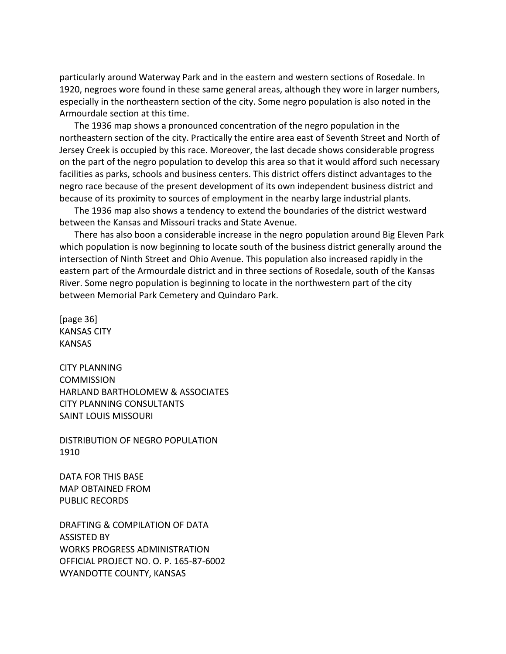particularly around Waterway Park and in the eastern and western sections of Rosedale. In 1920, negroes wore found in these same general areas, although they wore in larger numbers, especially in the northeastern section of the city. Some negro population is also noted in the Armourdale section at this time.

The 1936 map shows a pronounced concentration of the negro population in the northeastern section of the city. Practically the entire area east of Seventh Street and North of Jersey Creek is occupied by this race. Moreover, the last decade shows considerable progress on the part of the negro population to develop this area so that it would afford such necessary facilities as parks, schools and business centers. This district offers distinct advantages to the negro race because of the present development of its own independent business district and because of its proximity to sources of employment in the nearby large industrial plants.

The 1936 map also shows a tendency to extend the boundaries of the district westward between the Kansas and Missouri tracks and State Avenue.

There has also boon a considerable increase in the negro population around Big Eleven Park which population is now beginning to locate south of the business district generally around the intersection of Ninth Street and Ohio Avenue. This population also increased rapidly in the eastern part of the Armourdale district and in three sections of Rosedale, south of the Kansas River. Some negro population is beginning to locate in the northwestern part of the city between Memorial Park Cemetery and Quindaro Park.

[page 36] KANSAS CITY KANSAS

CITY PLANNING **COMMISSION** HARLAND BARTHOLOMEW & ASSOCIATES CITY PLANNING CONSULTANTS SAINT LOUIS MISSOURI

DISTRIBUTION OF NEGRO POPULATION 1910

DATA FOR THIS BASE MAP OBTAINED FROM PUBLIC RECORDS

DRAFTING & COMPILATION OF DATA ASSISTED BY WORKS PROGRESS ADMINISTRATION OFFICIAL PROJECT NO. O. P. 165-87-6002 WYANDOTTE COUNTY, KANSAS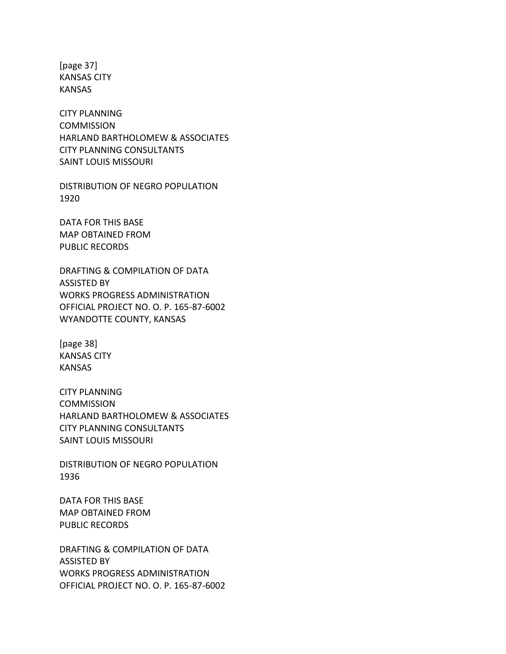[page 37] KANSAS CITY KANSAS

CITY PLANNING COMMISSION HARLAND BARTHOLOMEW & ASSOCIATES CITY PLANNING CONSULTANTS SAINT LOUIS MISSOURI

DISTRIBUTION OF NEGRO POPULATION 1920

DATA FOR THIS BASE MAP OBTAINED FROM PUBLIC RECORDS

DRAFTING & COMPILATION OF DATA ASSISTED BY WORKS PROGRESS ADMINISTRATION OFFICIAL PROJECT NO. O. P. 165-87-6002 WYANDOTTE COUNTY, KANSAS

[page 38] KANSAS CITY KANSAS

CITY PLANNING COMMISSION HARLAND BARTHOLOMEW & ASSOCIATES CITY PLANNING CONSULTANTS SAINT LOUIS MISSOURI

DISTRIBUTION OF NEGRO POPULATION 1936

DATA FOR THIS BASE MAP OBTAINED FROM PUBLIC RECORDS

DRAFTING & COMPILATION OF DATA ASSISTED BY WORKS PROGRESS ADMINISTRATION OFFICIAL PROJECT NO. O. P. 165-87-6002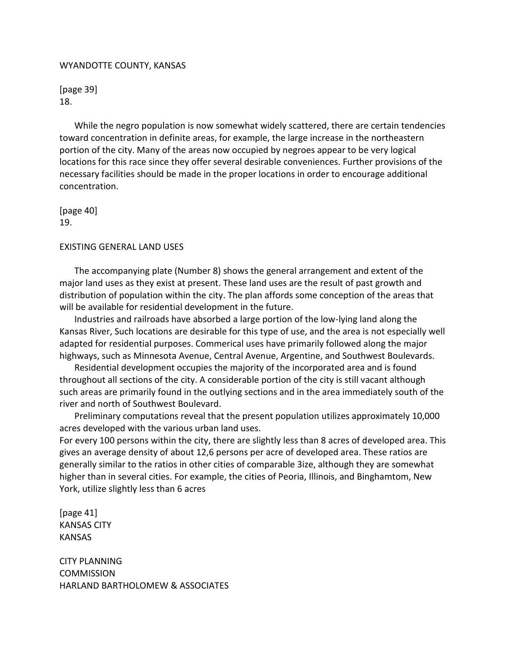#### WYANDOTTE COUNTY, KANSAS

[page 39] 18.

While the negro population is now somewhat widely scattered, there are certain tendencies toward concentration in definite areas, for example, the large increase in the northeastern portion of the city. Many of the areas now occupied by negroes appear to be very logical locations for this race since they offer several desirable conveniences. Further provisions of the necessary facilities should be made in the proper locations in order to encourage additional concentration.

[page 40] 19.

# EXISTING GENERAL LAND USES

The accompanying plate (Number 8) shows the general arrangement and extent of the major land uses as they exist at present. These land uses are the result of past growth and distribution of population within the city. The plan affords some conception of the areas that will be available for residential development in the future.

Industries and railroads have absorbed a large portion of the low-lying land along the Kansas River, Such locations are desirable for this type of use, and the area is not especially well adapted for residential purposes. Commerical uses have primarily followed along the major highways, such as Minnesota Avenue, Central Avenue, Argentine, and Southwest Boulevards.

Residential development occupies the majority of the incorporated area and is found throughout all sections of the city. A considerable portion of the city is still vacant although such areas are primarily found in the outlying sections and in the area immediately south of the river and north of Southwest Boulevard.

Preliminary computations reveal that the present population utilizes approximately 10,000 acres developed with the various urban land uses.

For every 100 persons within the city, there are slightly less than 8 acres of developed area. This gives an average density of about 12,6 persons per acre of developed area. These ratios are generally similar to the ratios in other cities of comparable 3ize, although they are somewhat higher than in several cities. For example, the cities of Peoria, Illinois, and Binghamtom, New York, utilize slightly less than 6 acres

[page 41] KANSAS CITY KANSAS

CITY PLANNING **COMMISSION** HARLAND BARTHOLOMEW & ASSOCIATES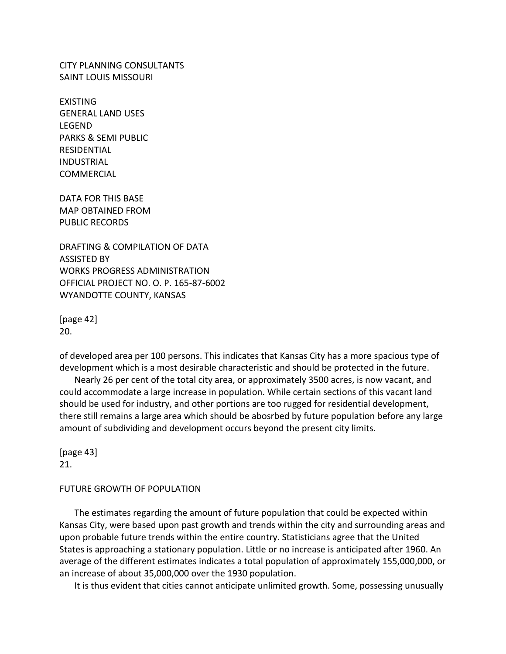CITY PLANNING CONSULTANTS SAINT LOUIS MISSOURI

EXISTING GENERAL LAND USES LEGEND PARKS & SEMI PUBLIC RESIDENTIAL INDUSTRIAL COMMERCIAL

DATA FOR THIS BASE MAP OBTAINED FROM PUBLIC RECORDS

DRAFTING & COMPILATION OF DATA ASSISTED BY WORKS PROGRESS ADMINISTRATION OFFICIAL PROJECT NO. O. P. 165-87-6002 WYANDOTTE COUNTY, KANSAS

[page 42] 20.

of developed area per 100 persons. This indicates that Kansas City has a more spacious type of development which is a most desirable characteristic and should be protected in the future.

Nearly 26 per cent of the total city area, or approximately 3500 acres, is now vacant, and could accommodate a large increase in population. While certain sections of this vacant land should be used for industry, and other portions are too rugged for residential development, there still remains a large area which should be abosrbed by future population before any large amount of subdividing and development occurs beyond the present city limits.

[page 43] 21.

#### FUTURE GROWTH OF POPULATION

The estimates regarding the amount of future population that could be expected within Kansas City, were based upon past growth and trends within the city and surrounding areas and upon probable future trends within the entire country. Statisticians agree that the United States is approaching a stationary population. Little or no increase is anticipated after 1960. An average of the different estimates indicates a total population of approximately 155,000,000, or an increase of about 35,000,000 over the 1930 population.

It is thus evident that cities cannot anticipate unlimited growth. Some, possessing unusually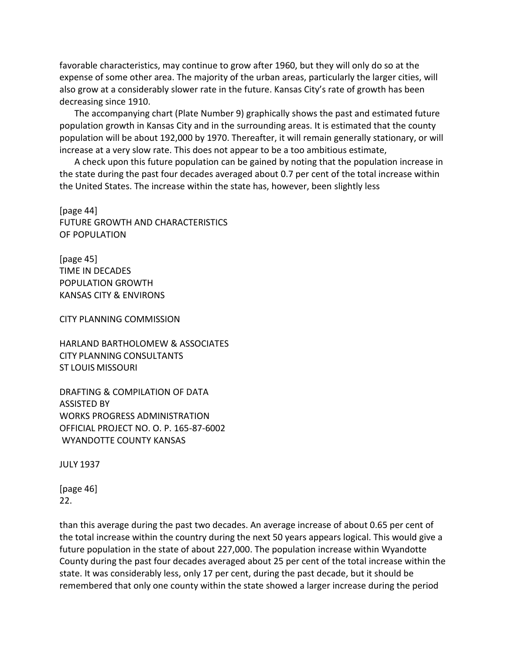favorable characteristics, may continue to grow after 1960, but they will only do so at the expense of some other area. The majority of the urban areas, particularly the larger cities, will also grow at a considerably slower rate in the future. Kansas City's rate of growth has been decreasing since 1910.

The accompanying chart (Plate Number 9) graphically shows the past and estimated future population growth in Kansas City and in the surrounding areas. It is estimated that the county population will be about 192,000 by 1970. Thereafter, it will remain generally stationary, or will increase at a very slow rate. This does not appear to be a too ambitious estimate,

A check upon this future population can be gained by noting that the population increase in the state during the past four decades averaged about 0.7 per cent of the total increase within the United States. The increase within the state has, however, been slightly less

[page 44] FUTURE GROWTH AND CHARACTERISTICS OF POPULATION

[page 45] TIME IN DECADES POPULATION GROWTH KANSAS CITY & ENVIRONS

CITY PLANNING COMMISSION

HARLAND BARTHOLOMEW & ASSOCIATES CITY PLANNING CONSULTANTS ST LOUIS MISSOURI

DRAFTING & COMPILATION OF DATA ASSISTED BY WORKS PROGRESS ADMINISTRATION OFFICIAL PROJECT NO. O. P. 165-87-6002 WYANDOTTE COUNTY KANSAS

JULY 1937

[page 46] 22.

than this average during the past two decades. An average increase of about 0.65 per cent of the total increase within the country during the next 50 years appears logical. This would give a future population in the state of about 227,000. The population increase within Wyandotte County during the past four decades averaged about 25 per cent of the total increase within the state. It was considerably less, only 17 per cent, during the past decade, but it should be remembered that only one county within the state showed a larger increase during the period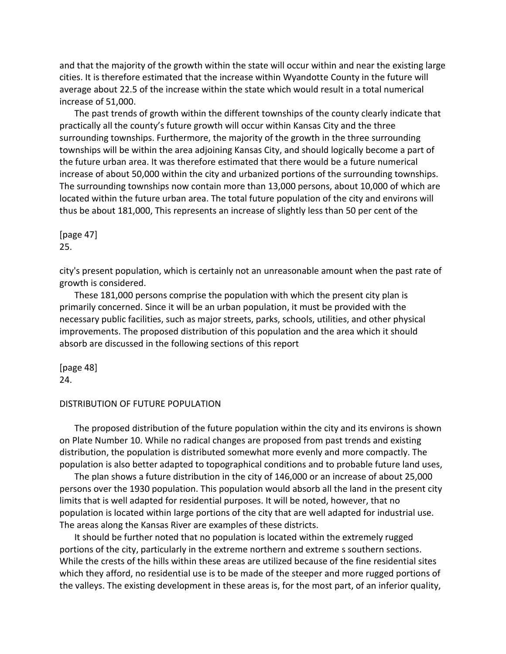and that the majority of the growth within the state will occur within and near the existing large cities. It is therefore estimated that the increase within Wyandotte County in the future will average about 22.5 of the increase within the state which would result in a total numerical increase of 51,000.

The past trends of growth within the different townships of the county clearly indicate that practically all the county's future growth will occur within Kansas City and the three surrounding townships. Furthermore, the majority of the growth in the three surrounding townships will be within the area adjoining Kansas City, and should logically become a part of the future urban area. It was therefore estimated that there would be a future numerical increase of about 50,000 within the city and urbanized portions of the surrounding townships. The surrounding townships now contain more than 13,000 persons, about 10,000 of which are located within the future urban area. The total future population of the city and environs will thus be about 181,000, This represents an increase of slightly less than 50 per cent of the

[page 47] 25.

city's present population, which is certainly not an unreasonable amount when the past rate of growth is considered.

These 181,000 persons comprise the population with which the present city plan is primarily concerned. Since it will be an urban population, it must be provided with the necessary public facilities, such as major streets, parks, schools, utilities, and other physical improvements. The proposed distribution of this population and the area which it should absorb are discussed in the following sections of this report

[page 48] 24.

#### DISTRIBUTION OF FUTURE POPULATION

The proposed distribution of the future population within the city and its environs is shown on Plate Number 10. While no radical changes are proposed from past trends and existing distribution, the population is distributed somewhat more evenly and more compactly. The population is also better adapted to topographical conditions and to probable future land uses,

The plan shows a future distribution in the city of 146,000 or an increase of about 25,000 persons over the 1930 population. This population would absorb all the land in the present city limits that is well adapted for residential purposes. It will be noted, however, that no population is located within large portions of the city that are well adapted for industrial use. The areas along the Kansas River are examples of these districts.

It should be further noted that no population is located within the extremely rugged portions of the city, particularly in the extreme northern and extreme s southern sections. While the crests of the hills within these areas are utilized because of the fine residential sites which they afford, no residential use is to be made of the steeper and more rugged portions of the valleys. The existing development in these areas is, for the most part, of an inferior quality,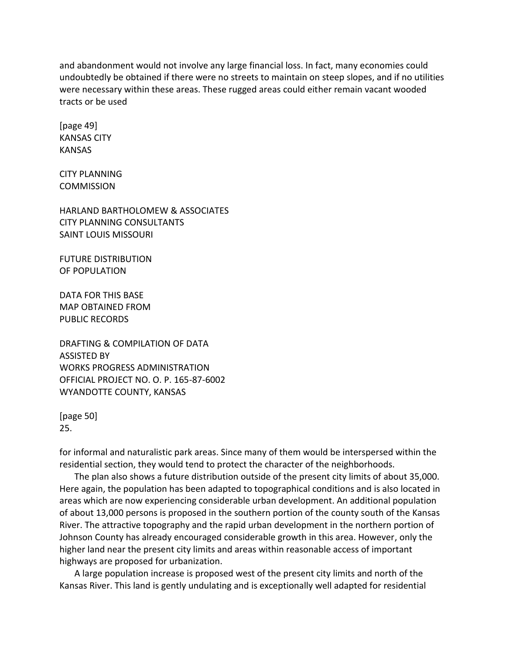and abandonment would not involve any large financial loss. In fact, many economies could undoubtedly be obtained if there were no streets to maintain on steep slopes, and if no utilities were necessary within these areas. These rugged areas could either remain vacant wooded tracts or be used

[page 49] KANSAS CITY KANSAS

CITY PLANNING **COMMISSION** 

HARLAND BARTHOLOMEW & ASSOCIATES CITY PLANNING CONSULTANTS SAINT LOUIS MISSOURI

FUTURE DISTRIBUTION OF POPULATION

DATA FOR THIS BASE MAP OBTAINED FROM PUBLIC RECORDS

DRAFTING & COMPILATION OF DATA ASSISTED BY WORKS PROGRESS ADMINISTRATION OFFICIAL PROJECT NO. O. P. 165-87-6002 WYANDOTTE COUNTY, KANSAS

[page 50] 25.

for informal and naturalistic park areas. Since many of them would be interspersed within the residential section, they would tend to protect the character of the neighborhoods.

The plan also shows a future distribution outside of the present city limits of about 35,000. Here again, the population has been adapted to topographical conditions and is also located in areas which are now experiencing considerable urban development. An additional population of about 13,000 persons is proposed in the southern portion of the county south of the Kansas River. The attractive topography and the rapid urban development in the northern portion of Johnson County has already encouraged considerable growth in this area. However, only the higher land near the present city limits and areas within reasonable access of important highways are proposed for urbanization.

A large population increase is proposed west of the present city limits and north of the Kansas River. This land is gently undulating and is exceptionally well adapted for residential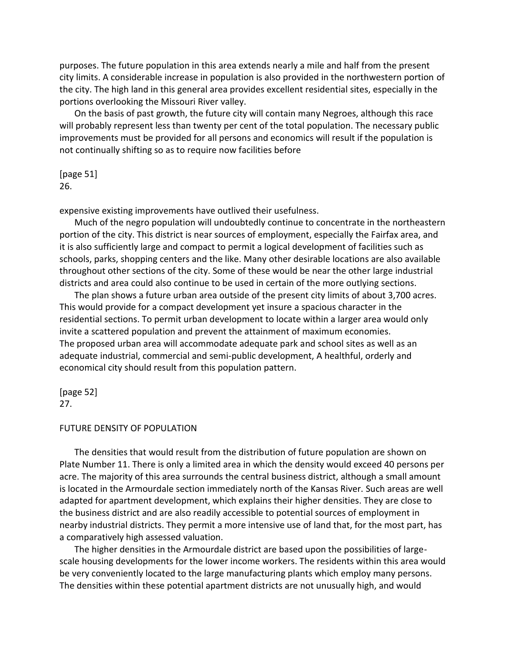purposes. The future population in this area extends nearly a mile and half from the present city limits. A considerable increase in population is also provided in the northwestern portion of the city. The high land in this general area provides excellent residential sites, especially in the portions overlooking the Missouri River valley.

On the basis of past growth, the future city will contain many Negroes, although this race will probably represent less than twenty per cent of the total population. The necessary public improvements must be provided for all persons and economics will result if the population is not continually shifting so as to require now facilities before

# [page 51] 26.

expensive existing improvements have outlived their usefulness.

Much of the negro population will undoubtedly continue to concentrate in the northeastern portion of the city. This district is near sources of employment, especially the Fairfax area, and it is also sufficiently large and compact to permit a logical development of facilities such as schools, parks, shopping centers and the like. Many other desirable locations are also available throughout other sections of the city. Some of these would be near the other large industrial districts and area could also continue to be used in certain of the more outlying sections.

The plan shows a future urban area outside of the present city limits of about 3,700 acres. This would provide for a compact development yet insure a spacious character in the residential sections. To permit urban development to locate within a larger area would only invite a scattered population and prevent the attainment of maximum economies. The proposed urban area will accommodate adequate park and school sites as well as an adequate industrial, commercial and semi-public development, A healthful, orderly and economical city should result from this population pattern.

#### [page 52] 27.

#### FUTURE DENSITY OF POPULATION

The densities that would result from the distribution of future population are shown on Plate Number 11. There is only a limited area in which the density would exceed 40 persons per acre. The majority of this area surrounds the central business district, although a small amount is located in the Armourdale section immediately north of the Kansas River. Such areas are well adapted for apartment development, which explains their higher densities. They are close to the business district and are also readily accessible to potential sources of employment in nearby industrial districts. They permit a more intensive use of land that, for the most part, has a comparatively high assessed valuation.

The higher densities in the Armourdale district are based upon the possibilities of largescale housing developments for the lower income workers. The residents within this area would be very conveniently located to the large manufacturing plants which employ many persons. The densities within these potential apartment districts are not unusually high, and would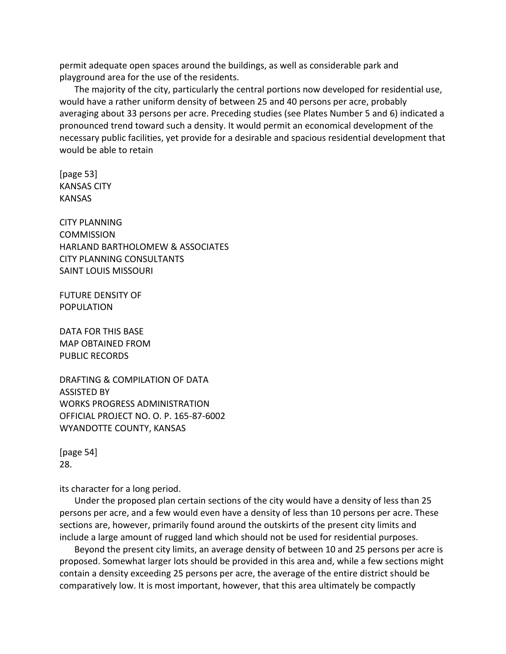permit adequate open spaces around the buildings, as well as considerable park and playground area for the use of the residents.

The majority of the city, particularly the central portions now developed for residential use, would have a rather uniform density of between 25 and 40 persons per acre, probably averaging about 33 persons per acre. Preceding studies (see Plates Number 5 and 6) indicated a pronounced trend toward such a density. It would permit an economical development of the necessary public facilities, yet provide for a desirable and spacious residential development that would be able to retain

[page 53] KANSAS CITY KANSAS

CITY PLANNING **COMMISSION** HARLAND BARTHOLOMEW & ASSOCIATES CITY PLANNING CONSULTANTS SAINT LOUIS MISSOURI

FUTURE DENSITY OF POPULATION

DATA FOR THIS BASE MAP OBTAINED FROM PUBLIC RECORDS

DRAFTING & COMPILATION OF DATA ASSISTED BY WORKS PROGRESS ADMINISTRATION OFFICIAL PROJECT NO. O. P. 165-87-6002 WYANDOTTE COUNTY, KANSAS

[page 54] 28.

its character for a long period.

Under the proposed plan certain sections of the city would have a density of less than 25 persons per acre, and a few would even have a density of less than 10 persons per acre. These sections are, however, primarily found around the outskirts of the present city limits and include a large amount of rugged land which should not be used for residential purposes.

Beyond the present city limits, an average density of between 10 and 25 persons per acre is proposed. Somewhat larger lots should be provided in this area and, while a few sections might contain a density exceeding 25 persons per acre, the average of the entire district should be comparatively low. It is most important, however, that this area ultimately be compactly